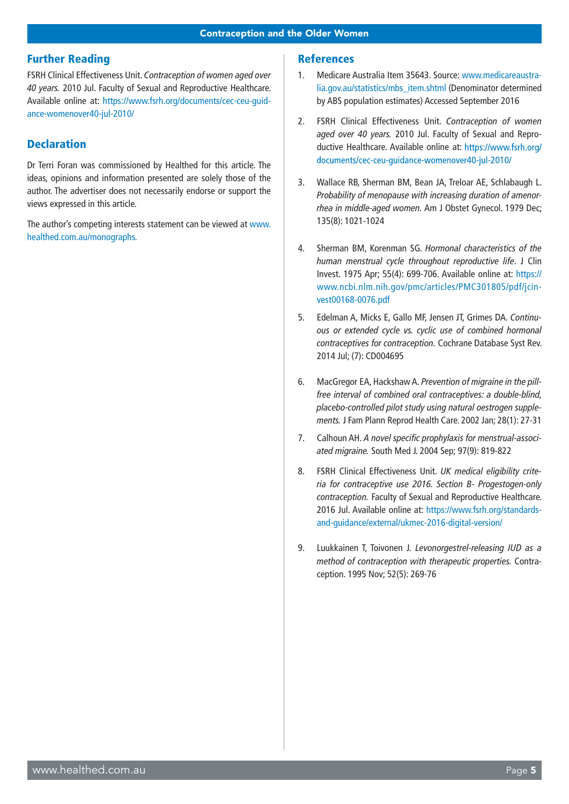## Further Reading

FSRH Clinical Effectiveness Unit. *Contraception of women aged over 40 years.* 2010 Jul. Faculty of Sexual and Reproductive Healthcare. Available online at: [https://www.fsrh.org/documents/cec-ceu-guid](https://www.fsrh.org/documents/cec-ceu-guidance-womenover40-jul-2010/)[ance-womenover40-jul-2010/](https://www.fsrh.org/documents/cec-ceu-guidance-womenover40-jul-2010/)

## **Declaration**

Dr Terri Foran was commissioned by Healthed for this article. The ideas, opinions and information presented are solely those of the author. The advertiser does not necessarily endorse or support the views expressed in this article.

The author's competing interests statement can be viewed at www. healthed.com.au/monographs.

## **References**

- 1. Medicare Australia Item 35643. Source: [www.medicareaustra](http://www.medicareaustralia.gov.au/statistics/mbs_item.shtml)[lia.gov.au/statistics/mbs\\_item.shtml](http://www.medicareaustralia.gov.au/statistics/mbs_item.shtml) (Denominator determined by ABS population estimates) Accessed September 2016
- 2. FSRH Clinical Effectiveness Unit. *Contraception of women aged over 40 years.* 2010 Jul. Faculty of Sexual and Reproductive Healthcare. Available online at: https://www.fsrh.org/ documents/cec-ceu-quidance-womenover40-jul-2010/
- 3. Wallace RB, Sherman BM, Bean JA, Treloar AE, Schlabaugh L. *Probability of menopause with increasing duration of amenorrhea in middle-aged women.* Am J Obstet Gynecol. 1979 Dec; 135(8): 1021-1024
- 4. Sherman BM, Korenman SG. *Hormonal characteristics of the human menstrual cycle throughout reproductive life*. J Clin Invest. 1975 Apr; 55(4): 699-706. Available online at: https:// www.ncbi.nlm.nih.gov/pmc/articles/PMC301805/pdf/jcinvest00168-0076.pdf
- 5. Edelman A, Micks E, Gallo MF, Jensen JT, Grimes DA. *Continuous or extended cycle vs. cyclic use of combined hormonal contraceptives for contraception.* Cochrane Database Syst Rev. 2014 Jul; (7): CD004695
- 6. MacGregor EA, Hackshaw A. *Prevention of migraine in the pillfree interval of combined oral contraceptives: a double-blind, placebo-controlled pilot study using natural oestrogen supplements.* J Fam Plann Reprod Health Care. 2002 Jan; 28(1): 27-31
- 7. Calhoun AH. *A novel specific prophylaxis for menstrual-associated migraine.* South Med J. 2004 Sep; 97(9): 819-822
- 8. FSRH Clinical Effectiveness Unit. *UK medical eligibility criteria for contraceptive use 2016. Section B- Progestogen-only contraception.* Faculty of Sexual and Reproductive Healthcare. 2016 Jul. Available online at: [https://www.fsrh.org/standards](https://www.fsrh.org/standards-and-guidance/external/ukmec-2016-digital-version/)[and-guidance/external/ukmec-2016-digital-version/](https://www.fsrh.org/standards-and-guidance/external/ukmec-2016-digital-version/)
- 9. Luukkainen T, Toivonen J*. Levonorgestrel-releasing IUD as a method of contraception with therapeutic properties.* Contraception. 1995 Nov; 52(5): 269-76